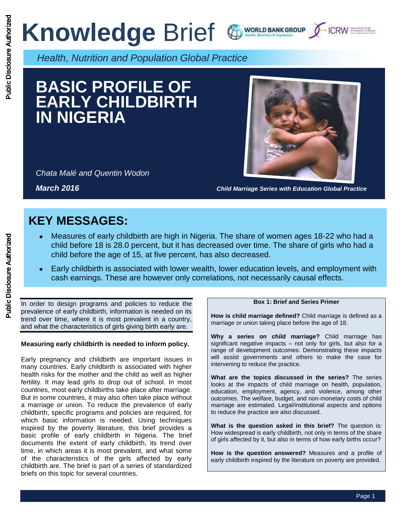# **Knowledge Brief & WORLD BANKGROUP J-ICRW SEEL**





*Health, Nutrition and Population Global Practice*

# **BASIC PROFILE OF EARLY CHILDBIRTH IN NIGERIA**

*Chata Malé and Quentin Wodon* 



*March 2016 Child Marriage Series with Education Global Practice*

## **KEY MESSAGES:**

- Measures of early childbirth are high in Nigeria. The share of women ages 18-22 who had a child before 18 is 28.0 percent, but it has decreased over time. The share of girls who had a child before the age of 15, at five percent, has also decreased.
- Early childbirth is associated with lower wealth, lower education levels, and employment with cash earnings. These are however only correlations, not necessarily causal effects.

In order to design programs and policies to reduce the prevalence of early childbirth, information is needed on its trend over time, where it is most prevalent in a country, and what the characteristics of girls giving birth early are.

### **Measuring early childbirth is needed to inform policy.**

Early pregnancy and childbirth are important issues in many countries. Early childbirth is associated with higher health risks for the mother and the child as well as higher fertility. It may lead girls to drop out of school. In most countries, most early childbirths take place after marriage. But in some countries, it may also often take place without a marriage or union. To reduce the prevalence of early childbirth, specific programs and policies are required, for which basic information is needed. Using techniques inspired by the poverty literature, this brief provides a basic profile of early childbirth in Nigeria. The brief documents the extent of early childbirth, its trend over time, in which areas it is most prevalent, and what some of the characteristics of the girls affected by early childbirth are. The brief is part of a series of standardized briefs on this topic for several countries.

#### **Box 1: Brief and Series Primer**

**How is child marriage defined?** Child marriage is defined as a marriage or union taking place before the age of 18.

**Why a series on child marriage?** Child marriage has significant negative impacts – not only for girls, but also for a range of development outcomes. Demonstrating these impacts will assist governments and others to make the case for intervening to reduce the practice.

**What are the topics discussed in the series?** The series looks at the impacts of child marriage on health, population, education, employment, agency, and violence, among other outcomes. The welfare, budget, and non-monetary costs of child marriage are estimated. Legal/institutional aspects and options to reduce the practice are also discussed.

**What is the question asked in this brief?** The question is: How widespread is early childbirth, not only in terms of the share of girls affected by it, but also in terms of how early births occur?

**How is the question answered?** Measures and a profile of early childbirth inspired by the literature on poverty are provided.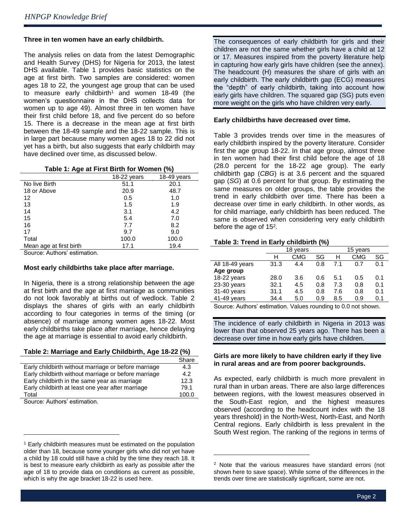ė

#### **Three in ten women have an early childbirth.**

The analysis relies on data from the latest Demographic and Health Survey (DHS) for Nigeria for 2013, the latest DHS available. Table 1 provides basic statistics on the age at first birth. Two samples are considered: women ages 18 to 22, the youngest age group that can be used to measure early childbirth<sup>1</sup> and women  $18-49$  (the women's questionnaire in the DHS collects data for women up to age 49). Almost three in ten women have their first child before 18, and five percent do so before 15. There is a decrease in the mean age at first birth between the 18-49 sample and the 18-22 sample. This is in large part because many women ages 18 to 22 did not yet has a birth, but also suggests that early childbirth may have declined over time, as discussed below.

|                         | 18-22 years | 18-49 years |
|-------------------------|-------------|-------------|
| No live Birth           | 51.1        | 20.1        |
| 18 or Above             | 20.9        | 48.7        |
| 12                      | 0.5         | 1.0         |
| 13                      | 1.5         | 1.9         |
| 14                      | 3.1         | 4.2         |
| 15                      | 5.4         | 7.0         |
| 16                      | 7.7         | 8.2         |
| 17                      | 9.7         | 9.0         |
| Total                   | 100.0       | 100.0       |
| Mean age at first birth | 17.1        | 19.4        |
|                         |             |             |

Source: Authors' estimation.

#### **Most early childbirths take place after marriage.**

In Nigeria, there is a strong relationship between the age at first birth and the age at first marriage as communities do not look favorably at births out of wedlock. Table 2 displays the shares of girls with an early childbirth according to four categories in terms of the timing (or absence) of marriage among women ages 18-22. Most early childbirths take place after marriage, hence delaying the age at marriage is essential to avoid early childbirth.

**Table 2: Marriage and Early Childbirth, Age 18-22 (%)**

|                                                      | Share |
|------------------------------------------------------|-------|
| Early childbirth without marriage or before marriage | 4.3   |
| Early childbirth without marriage or before marriage | 4.2   |
| Early childbirth in the same year as marriage        | 12.3  |
| Early childbirth at least one year after marriage    | 79.1  |
| Total                                                | 100.0 |
| Course: Authors' satimation                          |       |

Source: Authors' estimation.

 $\overline{a}$ 

The consequences of early childbirth for girls and their children are not the same whether girls have a child at 12 or 17. Measures inspired from the poverty literature help in capturing how early girls have children (see the annex). The headcount (H) measures the share of girls with an early childbirth. The early childbirth gap (ECG) measures the "depth" of early childbirth, taking into account how early girls have children. The squared gap (SG) puts even more weight on the girls who have children very early.

### **Early childbirths have decreased over time.**

Table 3 provides trends over time in the measures of early childbirth inspired by the poverty literature. Consider first the age group 18-22. In that age group, almost three in ten women had their first child before the age of 18 (28.0 percent for the 18-22 age group). The early childbirth gap (*CBG*) is at 3.6 percent and the squared gap (*SG*) at 0.6 percent for that group. By estimating the same measures on older groups, the table provides the trend in early childbirth over time. There has been a decrease over time in early childbirth. In other words, as for child marriage, early childbirth has been reduced. The same is observed when considering very early childbirth before the age of 15<sup>2</sup>.

### **Table 3: Trend in Early childbirth (%)**

|                 | 18 years          |            |        | 15 vears |            |     |
|-----------------|-------------------|------------|--------|----------|------------|-----|
|                 | н                 | <b>CMG</b> | SG     | н        | <b>CMG</b> | SG  |
| All 18-49 years | 31.3              | 4.4        | 0.8    | 71       | 0.7        | 0.1 |
| Age group       |                   |            |        |          |            |     |
| 18-22 years     | 28.0              | 3.6        | 0.6    | 5.1      | 0.5        | 0.1 |
| $23-30$ years   | 32.1              | 4.5        | 0.8    | 7.3      | 0.8        | 0.1 |
| 31-40 years     | 31.1              | 4.5        | 0.8    | 7.6      | 0.8        | 0.1 |
| 41-49 years     | 34.4              | 5.0        | 0.9    | 8.5      | 0.9        | 0.1 |
|                 | $\cdots$ $\cdots$ |            | $\sim$ |          |            |     |

Source: Authors' estimation. Values rounding to 0.0 not shown.

The incidence of early childbirth in Nigeria in 2013 was lower than that observed 25 years ago. There has been a decrease over time in how early girls have children.

#### **Girls are more likely to have children early if they live in rural areas and are from poorer backgrounds.**

As expected, early childbirth is much more prevalent in rural than in urban areas. There are also large differences between regions, with the lowest measures observed in the South-East region, and the highest measures observed (according to the headcount index with the 18 years threshold) in the North-West, North-East, and North Central regions. Early childbirth is less prevalent in the South West region. The ranking of the regions in terms of

l

<sup>&</sup>lt;sup>1</sup> Early childbirth measures must be estimated on the population older than 18, because some younger girls who did not yet have a child by 18 could still have a child by the time they reach 18. It is best to measure early childbirth as early as possible after the age of 18 to provide data on conditions as current as possible, which is why the age bracket 18-22 is used here.

<sup>&</sup>lt;sup>2</sup> Note that the various measures have standard errors (not shown here to save space). While some of the differences in the trends over time are statistically significant, some are not.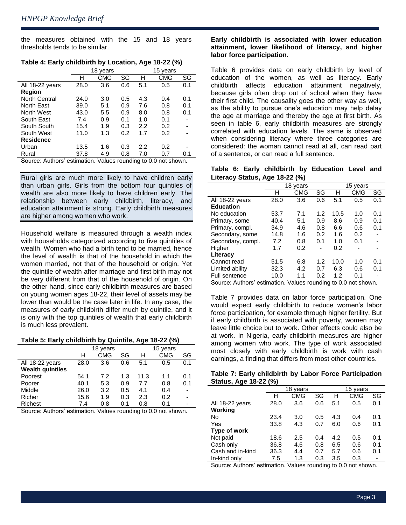the measures obtained with the 15 and 18 years thresholds tends to be similar.

|                                                                | 18 years |            |     |     | 15 years   |     |  |
|----------------------------------------------------------------|----------|------------|-----|-----|------------|-----|--|
|                                                                | н        | <b>CMG</b> | SG  | н   | <b>CMG</b> | SG  |  |
| All 18-22 years                                                | 28.0     | 3.6        | 0.6 | 5.1 | 0.5        | 0.1 |  |
| Region                                                         |          |            |     |     |            |     |  |
| <b>North Central</b>                                           | 24.0     | 3.0        | 0.5 | 4.3 | 0.4        | 0.1 |  |
| North East                                                     | 39.0     | 5.1        | 0.9 | 7.6 | 0.8        | 0.1 |  |
| North West                                                     | 43.0     | 5.5        | 0.9 | 8.0 | 0.8        | 0.1 |  |
| South East                                                     | 7.4      | 0.9        | 0.1 | 1.0 | 0.1        |     |  |
| South South                                                    | 15.4     | 1.9        | 0.3 | 2.2 | 0.2        |     |  |
| South West                                                     | 11.0     | 1.3        | 0.2 | 1.7 | 0.2        |     |  |
| <b>Residence</b>                                               |          |            |     |     |            |     |  |
| Urban                                                          | 13.5     | 1.6        | 0.3 | 2.2 | 0.2        |     |  |
| Rural                                                          | 37.8     | 4.9        | 0.8 | 7.0 | 0.7        | 0.1 |  |
| Source: Authors' estimation. Values rounding to 0.0 not shown. |          |            |     |     |            |     |  |

#### **Table 4: Early childbirth by Location, Age 18-22 (%)**

Rural girls are much more likely to have children early than urban girls. Girls from the bottom four quintiles of wealth are also more likely to have children early. The relationship between early childbirth, literacy, and education attainment is strong. Early childbirth measures are higher among women who work.

Household welfare is measured through a wealth index with households categorized according to five quintiles of wealth. Women who had a birth tend to be married, hence the level of wealth is that of the household in which the women married, not that of the household or origin. Yet the quintile of wealth after marriage and first birth may not be very different from that of the household of origin. On the other hand, since early childbirth measures are based on young women ages 18-22, their level of assets may be lower than would be the case later in life. In any case, the measures of early childbirth differ much by quintile, and it is only with the top quintiles of wealth that early childbirth is much less prevalent.

#### **Table 5: Early childbirth by Quintile, Age 18-22 (%)**

|                         | 18 years |            |     | 15<br>vears |            |     |
|-------------------------|----------|------------|-----|-------------|------------|-----|
|                         | н        | <b>CMG</b> | SG  | н           | <b>CMG</b> | SG  |
| All 18-22 years         | 28.0     | 3.6        | 0.6 | 5.1         | 0.5        | 0.1 |
| <b>Wealth quintiles</b> |          |            |     |             |            |     |
| Poorest                 | 54.1     | 7.2        | 1.3 | 11.3        | 1.1        | 0.1 |
| Poorer                  | 40.1     | 5.3        | 0.9 | 7.7         | 0.8        | 0.1 |
| Middle                  | 26.0     | 3.2        | 0.5 | 4.1         | 0.4        |     |
| Richer                  | 15.6     | 1.9        | 0.3 | 2.3         | 0.2        |     |
| <b>Richest</b>          | 7.4      | 0.8        | 0.1 | 0.8         | 0.1        |     |

Source: Authors' estimation. Values rounding to 0.0 not shown.

#### **Early childbirth is associated with lower education attainment, lower likelihood of literacy, and higher labor force participation.**

Table 6 provides data on early childbirth by level of education of the women, as well as literacy. Early childbirth affects education attainment negatively, because girls often drop out of school when they have their first child. The causality goes the other way as well, as the ability to pursue one's education may help delay the age at marriage and thereby the age at first birth. As seen in table 6, early childbirth measures are strongly correlated with education levels. The same is observed when considering literacy where three categories are considered: the woman cannot read at all, can read part of a sentence, or can read a full sentence.

**Table 6: Early childbirth by Education Level and Literacy Status, Age 18-22 (%)**

|                      | 18 years |            |     | 15 years |     |     |
|----------------------|----------|------------|-----|----------|-----|-----|
|                      | н        | <b>CMG</b> | SG  | н        | CMG | SG  |
| All 18-22 years      | 28.0     | 3.6        | 0.6 | 5.1      | 0.5 | 0.1 |
| <b>Education</b>     |          |            |     |          |     |     |
| No education         | 53.7     | 7.1        | 1.2 | 10.5     | 1.0 | 0.1 |
| Primary, some        | 40.4     | 5.1        | 0.9 | 8.6      | 0.9 | 0.1 |
| Primary, compl.      | 34.9     | 4.6        | 0.8 | 6.6      | 0.6 | 0.1 |
| Secondary, some      | 14.8     | 1.6        | 0.2 | 1.6      | 0.2 |     |
| Secondary, compl.    | 7.2      | 0.8        | 0.1 | 1.0      | 0.1 |     |
| Higher               | 1.7      | 0.2        |     | 0.2      |     |     |
| Literacy             |          |            |     |          |     |     |
| Cannot read          | 51.5     | 6.8        | 1.2 | 10.0     | 1.0 | 0.1 |
| Limited ability      | 32.3     | 4.2        | 0.7 | 6.3      | 0.6 | 0.1 |
| <b>Full sentence</b> | 10.0     | 1.1        | 0.2 | 1.2      | 0.1 |     |
|                      |          |            |     |          |     |     |

Source: Authors' estimation. Values rounding to 0.0 not shown.

Table 7 provides data on labor force participation. One would expect early childbirth to reduce women's labor force participation, for example through higher fertility. But if early childbirth is associated with poverty, women may leave little choice but to work. Other effects could also be at work. In Nigeria, early childbirth measures are higher among women who work. The type of work associated most closely with early childbirth is work with cash earnings, a finding that differs from most other countries.

| Table 7: Early childbirth by Labor Force Participation |  |  |
|--------------------------------------------------------|--|--|
| Status, Age 18-22 (%)                                  |  |  |

| $\epsilon$<br>. . |      |            |     |     |          |     |  |
|-------------------|------|------------|-----|-----|----------|-----|--|
|                   |      | 18 years   |     |     | 15 years |     |  |
|                   | н    | <b>CMG</b> | SG  | н   | CMG      | SG  |  |
| All 18-22 years   | 28.0 | 3.6        | 0.6 | 5.1 | 0.5      | 0.1 |  |
| Working           |      |            |     |     |          |     |  |
| <b>No</b>         | 23.4 | 3.0        | 0.5 | 4.3 | 0.4      | 0.1 |  |
| Yes               | 33.8 | 4.3        | 0.7 | 6.0 | 0.6      | 0.1 |  |
| Type of work      |      |            |     |     |          |     |  |
| Not paid          | 18.6 | 2.5        | 0.4 | 4.2 | 0.5      | 0.1 |  |
| Cash only         | 36.8 | 4.6        | 0.8 | 6.5 | 0.6      | 0.1 |  |
| Cash and in-kind  | 36.3 | 4.4        | 0.7 | 5.7 | 0.6      | 0.1 |  |
| In-kind only      | 7.5  | 1.3        | 0.3 | 3.5 | 0.3      |     |  |

Source: Authors' estimation. Values rounding to 0.0 not shown.